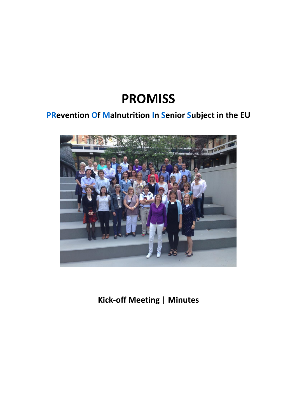# **PROMISS**

# **PRevention Of Malnutrition In Senior Subject in the EU**



**Kick-off Meeting | Minutes**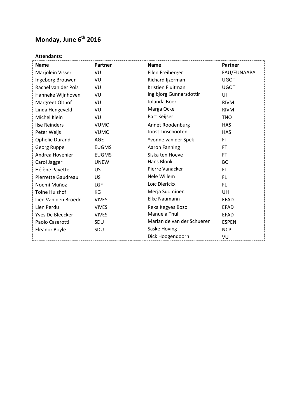# **Monday, June 6th 2016**

# **Attendants:**

| <b>Name</b>           | <b>Partner</b> | <b>Name</b>                | Partner      |
|-----------------------|----------------|----------------------------|--------------|
| Marjolein Visser      | VU             | Ellen Freiberger           | FAU/EUNAAPA  |
| Ingeborg Brouwer      | VU             | Richard Ijzerman           | <b>UGOT</b>  |
| Rachel van der Pols   | VU             | Kristien Fluitman          | <b>UGOT</b>  |
| Hanneke Wijnhoven     | VU             | Ingibjorg Gunnarsdottir    | UI           |
| Margreet Olthof       | VU             | Jolanda Boer               | <b>RIVM</b>  |
| Linda Hengeveld       | VU             | Marga Ocke                 | <b>RIVM</b>  |
| Michel Klein          | VU             | Bart Keijser               | <b>TNO</b>   |
| <b>Ilse Reinders</b>  | <b>VUMC</b>    | Annet Roodenburg           | <b>HAS</b>   |
| Peter Weijs           | <b>VUMC</b>    | Joost Linschooten          | <b>HAS</b>   |
| <b>Ophelie Durand</b> | <b>AGE</b>     | Yvonne van der Spek        | <b>FT</b>    |
| Georg Ruppe           | <b>EUGMS</b>   | <b>Aaron Fanning</b>       | <b>FT</b>    |
| Andrea Hovenier       | <b>EUGMS</b>   | Siska ten Hoeve            | <b>FT</b>    |
| Carol Jagger          | <b>UNEW</b>    | Hans Blonk                 | <b>BC</b>    |
| Hélène Payette        | US             | Pierre Vanacker            | <b>FL</b>    |
| Pierrette Gaudreau    | <b>US</b>      | Nele Willem                | <b>FL</b>    |
| Noemí Muñoz           | LGF            | Loïc Dierickx              | <b>FL</b>    |
| <b>Toine Hulshof</b>  | KG             | Merja Suominen             | UH           |
| Lien Van den Broeck   | <b>VIVES</b>   | Elke Naumann               | <b>EFAD</b>  |
| Lien Perdu            | <b>VIVES</b>   | Reka Kegyes Bozo           | <b>EFAD</b>  |
| Yves De Bleecker      | <b>VIVES</b>   | Manuela Thul               | <b>EFAD</b>  |
| Paolo Caserotti       | SDU            | Marian de van der Schueren | <b>ESPEN</b> |
| Eleanor Boyle         | SDU            | Saske Hoving               | <b>NCP</b>   |
|                       |                | Dick Hoogendoorn           | VU           |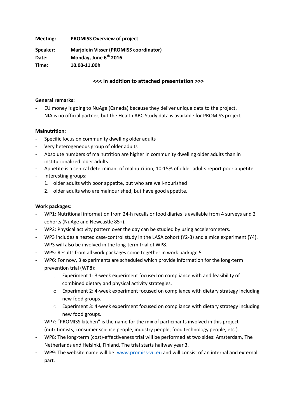**Meeting: PROMISS Overview of project** 

**Speaker: Marjolein Visser (PROMISS coordinator) Date: Monday, June 6th 2016 Time: 10.00-11.00h**

# **<<< in addition to attached presentation >>>**

#### **General remarks:**

- EU money is going to NuAge (Canada) because they deliver unique data to the project.
- NIA is no official partner, but the Health ABC Study data is available for PROMISS project

# **Malnutrition:**

- Specific focus on community dwelling older adults
- Very heterogeneous group of older adults
- Absolute numbers of malnutrition are higher in community dwelling older adults than in institutionalized older adults.
- Appetite is a central determinant of malnutrition; 10-15% of older adults report poor appetite.
- Interesting groups:
	- 1. older adults with poor appetite, but who are well-nourished
	- 2. older adults who are malnourished, but have good appetite.

# **Work packages:**

- WP1: Nutritional information from 24-h recalls or food diaries is available from 4 surveys and 2 cohorts (NuAge and Newcastle 85+).
- WP2: Physical activity pattern over the day can be studied by using accelerometers.
- WP3 includes a nested case-control study in the LASA cohort (Y2-3) and a mice experiment (Y4). WP3 will also be involved in the long-term trial of WP8.
- WP5: Results from all work packages come together in work package 5.
- WP6: For now, 3 experiments are scheduled which provide information for the long-term prevention trial (WP8):
	- $\circ$  Experiment 1: 3-week experiment focused on compliance with and feasibility of combined dietary and physical activity strategies.
	- o Experiment 2: 4-week experiment focused on compliance with dietary strategy including new food groups.
	- o Experiment 3: 4-week experiment focused on compliance with dietary strategy including new food groups.
- WP7: "PROMISS kitchen" is the name for the mix of participants involved in this project (nutritionists, consumer science people, industry people, food technology people, etc.).
- WP8: The long-term (cost)-effectiveness trial will be performed at two sides: Amsterdam, The Netherlands and Helsinki, Finland. The trial starts halfway year 3.
- WP9: The website name will be: [www.promiss-vu.eu](http://www.promiss-vu.eu/) and will consist of an internal and external part.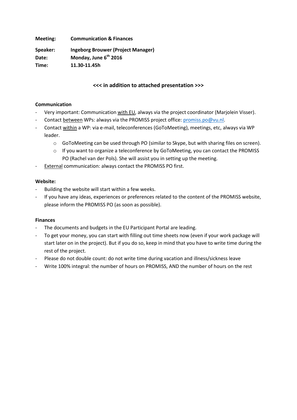**Meeting: Communication & Finances**

**Speaker: Ingeborg Brouwer (Project Manager) Date: Monday, June 6th 2016 Time: 11.30-11.45h**

# **<<< in addition to attached presentation >>>**

#### **Communication**

- Very important: Communication with EU, always via the project coordinator (Marjolein Visser).
- Contact between WPs: always via the PROMISS project office: [promiss.po@vu.nl.](mailto:promiss.po@vu.nl)
- Contact within a WP: via e-mail, teleconferences (GoToMeeting), meetings, etc, always via WP leader.
	- $\circ$  GoToMeeting can be used through PO (similar to Skype, but with sharing files on screen).
	- $\circ$  If you want to organize a teleconference by GoToMeeting, you can contact the PROMISS PO (Rachel van der Pols). She will assist you in setting up the meeting.
- External communication: always contact the PROMISS PO first.

#### **Website:**

- Building the website will start within a few weeks.
- If you have any ideas, experiences or preferences related to the content of the PROMISS website, please inform the PROMISS PO (as soon as possible).

# **Finances**

- The documents and budgets in the EU Participant Portal are leading.
- To get your money, you can start with filling out time sheets now (even if your work package will start later on in the project). But if you do so, keep in mind that you have to write time during the rest of the project.
- Please do not double count: do not write time during vacation and illness/sickness leave
- Write 100% integral: the number of hours on PROMISS, AND the number of hours on the rest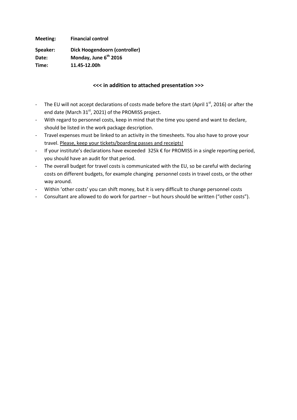**Meeting: Financial control**

**Speaker: Dick Hoogendoorn (controller) Date: Monday, June 6th 2016**

**Time: 11.45-12.00h**

# **<<< in addition to attached presentation >>>**

- The EU will not accept declarations of costs made before the start (April  $1<sup>st</sup>$ , 2016) or after the end date (March 31<sup>st</sup>, 2021) of the PROMISS project.
- With regard to personnel costs, keep in mind that the time you spend and want to declare, should be listed in the work package description.
- Travel expenses must be linked to an activity in the timesheets. You also have to prove your travel. Please, keep your tickets/boarding passes and receipts!
- If your institute's declarations have exceeded 325k € for PROMISS in a single reporting period, you should have an audit for that period.
- The overall budget for travel costs is communicated with the EU, so be careful with declaring costs on different budgets, for example changing personnel costs in travel costs, or the other way around.
- Within 'other costs' you can shift money, but it is very difficult to change personnel costs
- Consultant are allowed to do work for partner but hours should be written ("other costs").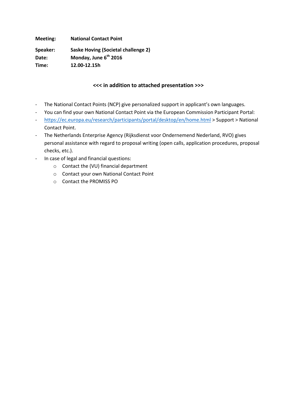**Meeting: National Contact Point**

**Speaker: Saske Hoving (Societal challenge 2) Date: Monday, June 6th 2016 Time: 12.00-12.15h**

# **<<< in addition to attached presentation >>>**

- The National Contact Points (NCP) give personalized support in applicant's own languages.
- You can find your own National Contact Point via the European Commission Participant Portal:
- <https://ec.europa.eu/research/participants/portal/desktop/en/home.html> > Support > National Contact Point.
- The Netherlands Enterprise Agency (Rijksdienst voor Ondernemend Nederland, RVO) gives personal assistance with regard to proposal writing (open calls, application procedures, proposal checks, etc.).
- In case of legal and financial questions:
	- o Contact the (VU) financial department
	- o Contact your own National Contact Point
	- o Contact the PROMISS PO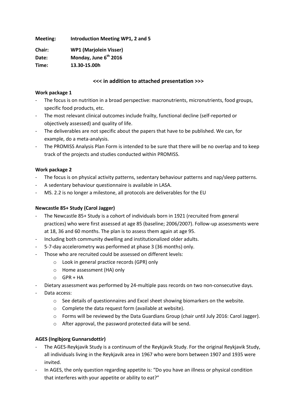**Meeting: Introduction Meeting WP1, 2 and 5**

**Chair: WP1 (Marjolein Visser) Date: Monday, June 6th 2016 Time: 13.30-15.00h**

# **<<< in addition to attached presentation >>>**

#### **Work package 1**

- The focus is on nutrition in a broad perspective: macronutrients, micronutrients, food groups, specific food products, etc.
- The most relevant clinical outcomes include frailty, functional decline (self-reported or objectively assessed) and quality of life.
- The deliverables are not specific about the papers that have to be published. We can, for example, do a meta-analysis.
- The PROMISS Analysis Plan Form is intended to be sure that there will be no overlap and to keep track of the projects and studies conducted within PROMISS.

# **Work package 2**

- The focus is on physical activity patterns, sedentary behaviour patterns and nap/sleep patterns.
- A sedentary behaviour questionnaire is available in LASA.
- MS. 2.2 is no longer a milestone, all protocols are deliverables for the EU

# **Newcastle 85+ Study (Carol Jagger)**

- The Newcastle 85+ Study is a cohort of individuals born in 1921 (recruited from general practices) who were first assessed at age 85 (baseline; 2006/2007). Follow-up assessments were at 18, 36 and 60 months. The plan is to assess them again at age 95.
- Including both community dwelling and institutionalized older adults.
- 5-7-day accelerometry was performed at phase 3 (36 months) only.
- Those who are recruited could be assessed on different levels:
	- o Look in general practice records (GPR) only
	- o Home assessment (HA) only
	- o GPR + HA
- Dietary assessment was performed by 24-multiple pass records on two non-consecutive days.
- Data access:
	- o See details of questionnaires and Excel sheet showing biomarkers on the website.
	- o Complete the data request form (available at website).
	- o Forms will be reviewed by the Data Guardians Group (chair until July 2016: Carol Jagger).
	- o After approval, the password protected data will be send.

# **AGES (Ingibjorg Gunnarsdottir)**

- The AGES-Reykjavik Study is a continuum of the Reykjavik Study. For the original Reykjavik Study, all individuals living in the Reykjavik area in 1967 who were born between 1907 and 1935 were invited.
- In AGES, the only question regarding appetite is: "Do you have an illness or physical condition that interferes with your appetite or ability to eat?"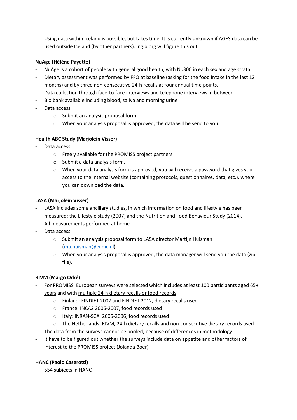Using data within Iceland is possible, but takes time. It is currently unknown if AGES data can be used outside Iceland (by other partners). Ingibjorg will figure this out.

# **NuAge (Hélène Payette)**

- NuAge is a cohort of people with general good health, with N≈300 in each sex and age strata.
- Dietary assessment was performed by FFQ at baseline (asking for the food intake in the last 12 months) and by three non-consecutive 24-h recalls at four annual time points.
- Data collection through face-to-face interviews and telephone interviews in between
- Bio bank available including blood, saliva and morning urine
- Data access:
	- o Submit an analysis proposal form.
	- o When your analysis proposal is approved, the data will be send to you.

# **Health ABC Study (Marjolein Visser)**

- Data access:
	- o Freely available for the PROMISS project partners
	- o Submit a data analysis form.
	- $\circ$  When your data analysis form is approved, you will receive a password that gives you access to the internal website (containing protocols, questionnaires, data, etc.), where you can download the data.

# **LASA (Marjolein Visser)**

- LASA includes some ancillary studies, in which information on food and lifestyle has been measured: the Lifestyle study (2007) and the Nutrition and Food Behaviour Study (2014).
- All measurements performed at home
- Data access:
	- o Submit an analysis proposal form to LASA director Martijn Huisman [\(ma.huisman@vumc.nl\)](mailto:ma.huisman@vumc.nl).
	- $\circ$  When your analysis proposal is approved, the data manager will send you the data (zip file).

# **RIVM (Margo Ocké)**

- For PROMISS, European surveys were selected which includes at least 100 participants aged 65+ years and with multiple 24-h dietary recalls or food records:
	- o Finland: FINDIET 2007 and FINDIET 2012, dietary recalls used
	- o France: INCA2 2006-2007, food records used
	- o Italy: INRAN-SCAI 2005-2006, food records used
	- o The Netherlands: RIVM, 24-h dietary recalls and non-consecutive dietary records used
- The data from the surveys cannot be pooled, because of differences in methodology.
- It have to be figured out whether the surveys include data on appetite and other factors of interest to the PROMISS project (Jolanda Boer).

# **HANC (Paolo Caserotti)**

554 subjects in HANC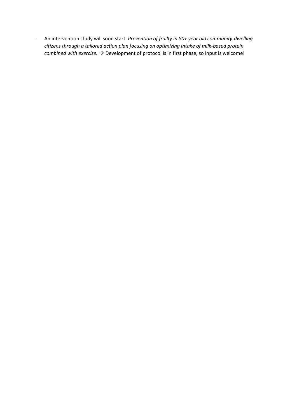- An intervention study will soon start: *Prevention of frailty in 80+ year old community-dwelling citizens through a tailored action plan focusing on optimizing intake of milk-based protein combined with exercise.*  $\rightarrow$  Development of protocol is in first phase, so input is welcome!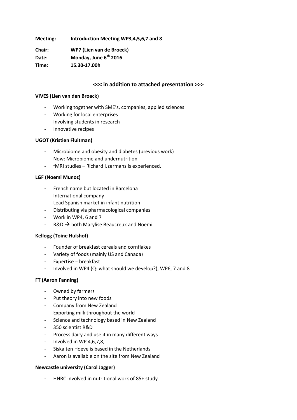**Meeting: Introduction Meeting WP3,4,5,6,7 and 8**

**Chair: WP7 (Lien van de Broeck) Date: Monday, June 6th 2016 Time: 15.30-17.00h**

# **<<< in addition to attached presentation >>>**

#### **VIVES (Lien van den Broeck)**

- Working together with SME's, companies, applied sciences
- Working for local enterprises
- Involving students in research
- Innovative recipes

#### **UGOT (Kristien Fluitman)**

- Microbiome and obesity and diabetes (previous work)
- Now: Microbiome and undernutrition
- fMRI studies Richard IJzermans is experienced.

#### **LGF (Noemi Munoz)**

- French name but located in Barcelona
- International company
- Lead Spanish market in infant nutrition
- Distributing via pharmacological companies
- Work in WP4, 6 and 7
- $R&D \rightarrow$  both Marylise Beaucreux and Noemi

#### **Kellogg (Toine Hulshof)**

- Founder of breakfast cereals and cornflakes
- Variety of foods (mainly US and Canada)
- Expertise = breakfast
- Involved in WP4 (Q: what should we develop?), WP6, 7 and 8

#### **FT (Aaron Fanning)**

- Owned by farmers
- Put theory into new foods
- Company from New Zealand
- Exporting milk throughout the world
- Science and technology based in New Zealand
- 350 scientist R&D
- Process dairy and use it in many different ways
- Involved in WP 4,6,7,8,
- Siska ten Hoeve is based in the Netherlands
- Aaron is available on the site from New Zealand

#### **Newcastle university (Carol Jagger)**

- HNRC involved in nutritional work of 85+ study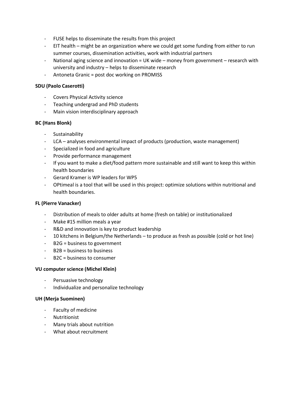- FUSE helps to disseminate the results from this project
- EIT health might be an organization where we could get some funding from either to run summer courses, dissemination activities, work with industrial partners
- National aging science and innovation = UK wide money from government research with university and industry – helps to disseminate research
- Antoneta Granic = post doc working on PROMISS

#### **SDU (Paolo Caserotti)**

- Covers Physical Activity science
- Teaching undergrad and PhD students
- Main vision interdisciplinary approach

#### **BC (Hans Blonk)**

- **Sustainability**
- LCA analyses environmental impact of products (production, waste management)
- Specialized in food and agriculture
- Provide performance management
- If you want to make a diet/food pattern more sustainable and still want to keep this within health boundaries
- Gerard Kramer is WP leaders for WP5
- OPtimeal is a tool that will be used in this project: optimize solutions within nutritional and health boundaries.

#### **FL (Pierre Vanacker)**

- Distribution of meals to older adults at home (fresh on table) or institutionalized
- Make #15 million meals a year
- R&D and innovation is key to product leadership
- 10 kitchens in Belgium/the Netherlands to produce as fresh as possible (cold or hot line)
- B2G = business to government
- B2B = business to business
- B2C = business to consumer

#### **VU computer science (Michel Klein)**

- Persuasive technology
- Individualize and personalize technology

#### **UH (Merja Suominen)**

- Faculty of medicine
- Nutritionist
- Many trials about nutrition
- What about recruitment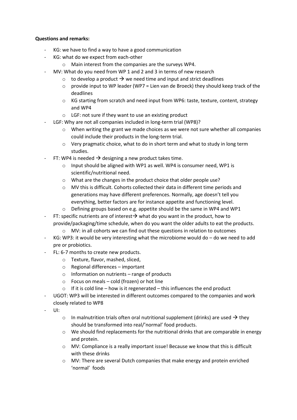#### **Questions and remarks:**

- KG: we have to find a way to have a good communication
- KG: what do we expect from each-other
	- o Main interest from the companies are the surveys WP4.
- MV: What do you need from WP 1 and 2 and 3 in terms of new research
	- $\circ$  to develop a product  $\rightarrow$  we need time and input and strict deadlines
	- $\circ$  provide input to WP leader (WP7 = Lien van de Broeck) they should keep track of the deadlines
	- o KG starting from scratch and need input from WP6: taste, texture, content, strategy and WP4
	- o LGF: not sure if they want to use an existing product
- LGF: Why are not all companies included in long-term trial (WP8)?
	- $\circ$  When writing the grant we made choices as we were not sure whether all companies could include their products in the long-term trial.
	- o Very pragmatic choice, what to do in short term and what to study in long term studies.
- FT: WP4 is needed  $\rightarrow$  designing a new product takes time.
	- o Input should be aligned with WP1 as well. WP4 is consumer need, WP1 is scientific/nutritional need.
	- o What are the changes in the product choice that older people use?
	- $\circ$  MV this is difficult. Cohorts collected their data in different time periods and generations may have different preferences. Normally, age doesn't tell you everything, better factors are for instance appetite and functioning level.
	- o Defining groups based on e.g. appetite should be the same in WP4 and WP1
- FT: specific nutrients are of interest  $\rightarrow$  what do you want in the product, how to provide/packaging/time schedule, when do you want the older adults to eat the products.
	- $\circ$  MV: in all cohorts we can find out these questions in relation to outcomes
- KG: WP3: it would be very interesting what the microbiome would do  $-$  do we need to add pre or probiotics.
- FL: 6-7 months to create new products.
	- o Texture, flavor, mashed, sliced,
	- o Regional differences important
	- $\circ$  Information on nutrients range of products
	- o Focus on meals cold (frozen) or hot line
	- $\circ$  If it is cold line how is it regenerated this influences the end product
- UGOT: WP3 will be interested in different outcomes compared to the companies and work closely related to WP8
- UI:
- o In malnutrition trials often oral nutritional supplement (drinks) are used  $\rightarrow$  they should be transformed into real/'normal' food products.
- $\circ$  We should find replacements for the nutritional drinks that are comparable in energy and protein.
- o MV: Compliance is a really important issue! Because we know that this is difficult with these drinks
- $\circ$  MV: There are several Dutch companies that make energy and protein enriched 'normal' foods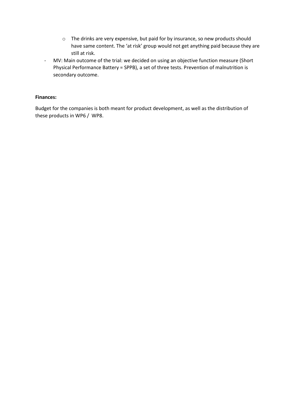- o The drinks are very expensive, but paid for by insurance, so new products should have same content. The 'at risk' group would not get anything paid because they are still at risk.
- MV: Main outcome of the trial: we decided on using an objective function measure (Short Physical Performance Battery = SPPB), a set of three tests. Prevention of malnutrition is secondary outcome.

#### **Finances:**

Budget for the companies is both meant for product development, as well as the distribution of these products in WP6 / WP8.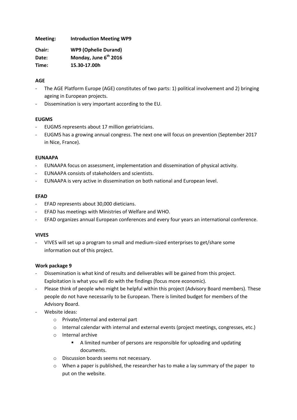**Meeting: Introduction Meeting WP9**

| Chair: | <b>WP9 (Ophelie Durand)</b>       |
|--------|-----------------------------------|
| Date:  | Monday, June 6 <sup>th</sup> 2016 |
| Time:  | 15.30-17.00h                      |

# **AGE**

- The AGE Platform Europe (AGE) constitutes of two parts: 1) political involvement and 2) bringing ageing in European projects.
- Dissemination is very important according to the EU.

# **EUGMS**

- EUGMS represents about 17 million geriatricians.
- EUGMS has a growing annual congress. The next one will focus on prevention (September 2017 in Nice, France).

# **EUNAAPA**

- EUNAAPA focus on assessment, implementation and dissemination of physical activity.
- EUNAAPA consists of stakeholders and scientists.
- EUNAAPA is very active in dissemination on both national and European level.

# **EFAD**

- EFAD represents about 30,000 dieticians.
- EFAD has meetings with Ministries of Welfare and WHO.
- EFAD organizes annual European conferences and every four years an international conference.

# **VIVES**

- VIVES will set up a program to small and medium-sized enterprises to get/share some information out of this project.

# **Work package 9**

- Dissemination is what kind of results and deliverables will be gained from this project. Exploitation is what you will do with the findings (focus more economic).
- Please think of people who might be helpful within this project (Advisory Board members). These people do not have necessarily to be European. There is limited budget for members of the Advisory Board.
- Website ideas:
	- o Private/internal and external part
	- o Internal calendar with internal and external events (project meetings, congresses, etc.)
	- o Internal archive
		- A limited number of persons are responsible for uploading and updating documents.
	- o Discussion boards seems not necessary.
	- $\circ$  When a paper is published, the researcher has to make a lay summary of the paper to put on the website.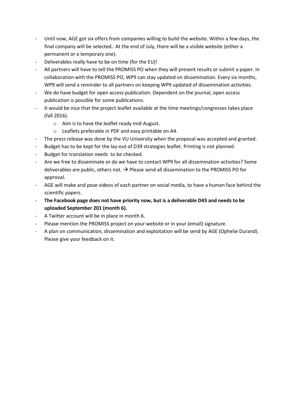- Until now, AGE got six offers from companies willing to build the website. Within a few days, the final company will be selected.. At the end of July, there will be a visible website (either a permanent or a temporary one).
- Deliverables really have to be on time (for the EU)!
- All partners will have to tell the PROMISS PO when they will present results or submit a paper. In collaboration with the PROMISS PO, WP9 can stay updated on dissemination. Every six months, WP9 will send a reminder to all partners on keeping WP9 updated of dissemination activities.
- We do have budget for open access publication. Dependent on the journal, open access publication is possible for some publications.
- It would be nice that the project leaflet available at the time meetings/congresses takes place (fall 2016).
	- o Aim is to have the leaflet ready mid-August.
	- o Leaflets preferable in PDF and easy printable on A4.
- The press release was done by the VU University when the proposal was accepted and granted.
- Budget has to be kept for the lay-out of D39 strategies leaflet. Printing is not planned.
- Budget for translation needs to be checked.
- Are we free to disseminate or do we have to contact WP9 for all dissemination activities? Some deliverables are public, others not.  $\rightarrow$  Please send all dissemination to the PROMISS PO for approval.
- AGE will make and pose videos of each partner on social media, to have a human face behind the scientific papers.
- **The Facebook page does not have priority now, but is a deliverable D43 and needs to be uploaded September 201 (month 6).**
- A Twitter account will be in place in month 6.
- Please mention the PROMISS project on your website or in your (email) signature.
- A plan on communication, dissemination and exploitation will be send by AGE (Ophelie Durand). Please give your feedback on it.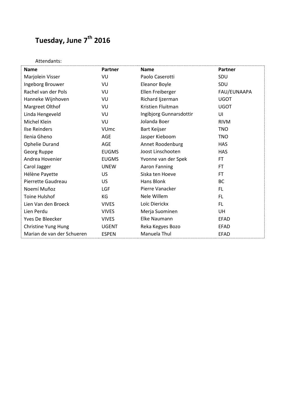# **Tuesday, June 7th 2016**

| Attendants:                |                |                         |             |
|----------------------------|----------------|-------------------------|-------------|
| <b>Name</b>                | <b>Partner</b> | <b>Name</b>             | Partner     |
| Marjolein Visser           | VU             | Paolo Caserotti         | SDU         |
| Ingeborg Brouwer           | VU             | <b>Eleanor Boyle</b>    | SDU         |
| Rachel van der Pols        | VU             | Ellen Freiberger        | FAU/EUNAAPA |
| Hanneke Wijnhoven          | VU             | Richard Ijzerman        | <b>UGOT</b> |
| Margreet Olthof            | VU             | Kristien Fluitman       | <b>UGOT</b> |
| Linda Hengeveld            | VU             | Ingibjorg Gunnarsdottir | UI          |
| Michel Klein               | VU             | Jolanda Boer            | <b>RIVM</b> |
| <b>Ilse Reinders</b>       | <b>VUmc</b>    | <b>Bart Keijser</b>     | <b>TNO</b>  |
| Ilenia Gheno               | AGE            | Jasper Kieboom          | <b>TNO</b>  |
| <b>Ophelie Durand</b>      | AGE            | Annet Roodenburg        | <b>HAS</b>  |
| Georg Ruppe                | <b>EUGMS</b>   | Joost Linschooten       | <b>HAS</b>  |
| Andrea Hovenier            | <b>EUGMS</b>   | Yvonne van der Spek     | <b>FT</b>   |
| Carol Jagger               | <b>UNEW</b>    | <b>Aaron Fanning</b>    | FT.         |
| Hélène Payette             | US             | Siska ten Hoeve         | FT.         |
| Pierrette Gaudreau         | <b>US</b>      | Hans Blonk              | <b>BC</b>   |
| Noemí Muñoz                | LGF            | Pierre Vanacker         | FL.         |
| Toine Hulshof              | KG             | Nele Willem             | FL.         |
| Lien Van den Broeck        | <b>VIVES</b>   | Loïc Dierickx           | FL.         |
| Lien Perdu                 | <b>VIVES</b>   | Merja Suominen          | UH          |
| Yves De Bleecker           | <b>VIVES</b>   | Elke Naumann            | EFAD        |
| <b>Christine Yung Hung</b> | <b>UGENT</b>   | Reka Kegyes Bozo        | <b>EFAD</b> |
| Marian de van der Schueren | <b>ESPEN</b>   | Manuela Thul            | <b>EFAD</b> |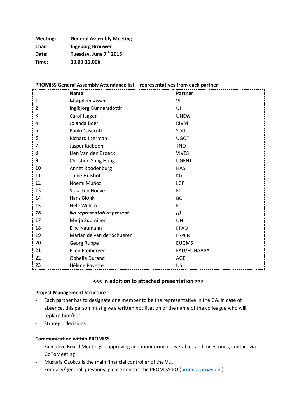**Meeting: General Assembly Meeting Chair: Ingeborg Brouwer Date: Tuesday, June 7th 2016 Time: 10.00-11.00h**

#### **PROMISS General Assembly Attendance list – representatives from each partner**

|              | <b>Name</b>                | Partner      |
|--------------|----------------------------|--------------|
| $\mathbf{1}$ | Marjolein Visser           | VU           |
| 2            | Ingibjorg Gunnarsdottir    | UI           |
| 3            | Carol Jagger               | <b>UNEW</b>  |
| 4            | Jolanda Boer               | <b>RIVM</b>  |
| 5            | Paolo Caserotti            | SDU          |
| 6            | Richard Ijzerman           | <b>UGOT</b>  |
| 7            | Jasper Kieboom             | <b>TNO</b>   |
| 8            | Lien Van den Broeck        | <b>VIVES</b> |
| 9            | Christine Yung Hung        | <b>UGENT</b> |
| 10           | Annet Roodenburg           | <b>HAS</b>   |
| 11           | <b>Toine Hulshof</b>       | KG           |
| 12           | Noemí Muñoz                | LGF          |
| 13           | Siska ten Hoeve            | <b>FT</b>    |
| 14           | Hans Blonk                 | <b>BC</b>    |
| 15           | Nele Willem                | <b>FL</b>    |
| 16           | No representative present  | Hi           |
| 17           | Merja Suominen             | UH           |
| 18           | <b>Elke Naumann</b>        | <b>EFAD</b>  |
| 19           | Marian de van der Schueren | <b>ESPEN</b> |
| 20           | Georg Ruppe                | <b>EUGMS</b> |
| 21           | Ellen Freiberger           | FAU/EUNAAPA  |
| 22           | <b>Ophelie Durand</b>      | AGE          |
| 23           | Hélène Payette             | US           |

#### **<<< in addition to attached presentation >>>**

#### **Project Management Structure**

- Each partner has to designate one member to be the representative in the GA. In case of absence, this person must give a written notification of the name of the colleague who will replace him/her.
- Strategic decisions

#### **Communication within PROMISS**

- Executive Board Meetings approving and monitoring deliverables and milestones, contact via GoToMeeting
- Mustafa Ozokcu is the main financial controller of the VU.
- For daily/general questions, please contact the PROMISS PO [\(promiss.po@vu.nl\)](mailto:promiss.po@vu.nl).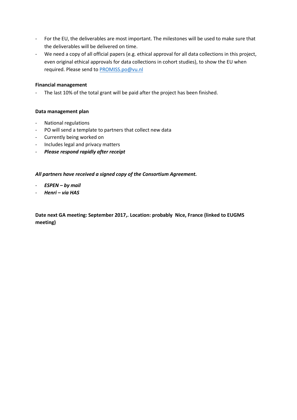- For the EU, the deliverables are most important. The milestones will be used to make sure that the deliverables will be delivered on time.
- We need a copy of all official papers (e.g. ethical approval for all data collections in this project, even original ethical approvals for data collections in cohort studies), to show the EU when required. Please send t[o PROMISS.po@vu.nl](mailto:PROMISS.po@vu.nl)

#### **Financial management**

- The last 10% of the total grant will be paid after the project has been finished.

#### **Data management plan**

- National regulations
- PO will send a template to partners that collect new data
- Currently being worked on
- Includes legal and privacy matters
- *Please respond rapidly after receipt*

#### *All partners have received a signed copy of the Consortium Agreement.*

- *ESPEN – by mail*
- *Henri – via HAS*

**Date next GA meeting: September 2017,. Location: probably Nice, France (linked to EUGMS meeting)**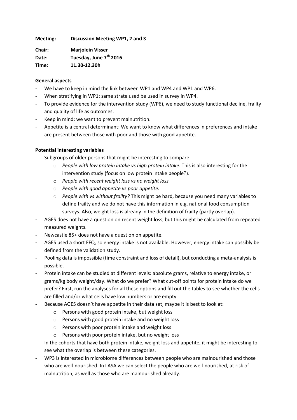**Meeting: Discussion Meeting WP1, 2 and 3**

**Chair: Marjolein Visser Date: Tuesday, June 7th 2016 Time: 11.30-12.30h**

#### **General aspects**

- We have to keep in mind the link between WP1 and WP4 and WP1 and WP6.
- When stratifying in WP1: same strate used be used in survey in WP4.
- To provide evidence for the intervention study (WP6), we need to study functional decline, frailty and quality of life as outcomes.
- Keep in mind: we want to prevent malnutrition.
- Appetite is a central determinant: We want to know what differences in preferences and intake are present between those with poor and those with good appetite.

# **Potential interesting variables**

- Subgroups of older persons that might be interesting to compare:
	- o *People with low protein intake vs high protein intake*. This is also interesting for the intervention study (focus on low protein intake people?).
	- o *People with recent weight loss vs no weight loss.*
	- o *People with good appetite vs poor appetite.*
	- o *People with vs without frailty?* This might be hard, because you need many variables to define frailty and we do not have this information in e.g. national food consumption surveys. Also, weight loss is already in the definition of frailty (partly overlap).
- AGES does not have a question on recent weight loss, but this might be calculated from repeated measured weights.
- Newcastle 85+ does not have a question on appetite.
- AGES used a short FFQ, so energy intake is not available. However, energy intake can possibly be defined from the validation study.
- Pooling data is impossible (time constraint and loss of detail), but conducting a meta-analysis is possible.
- Protein intake can be studied at different levels: absolute grams, relative to energy intake, or grams/kg body weight/day. What do we prefer? What cut-off points for protein intake do we prefer? First, run the analyses for all these options and fill out the tables to see whether the cells are filled and/or what cells have low numbers or are empty.
- Because AGES doesn't have appetite in their data set, maybe it is best to look at:
	- o Persons with good protein intake, but weight loss
	- o Persons with good protein intake and no weight loss
	- o Persons with poor protein intake and weight loss
	- o Persons with poor protein intake, but no weight loss
- In the cohorts that have both protein intake, weight loss and appetite, it might be interesting to see what the overlap is between these categories.
- WP3 is interested in microbiome differences between people who are malnourished and those who are well-nourished. In LASA we can select the people who are well-nourished, at risk of malnutrition, as well as those who are malnourished already.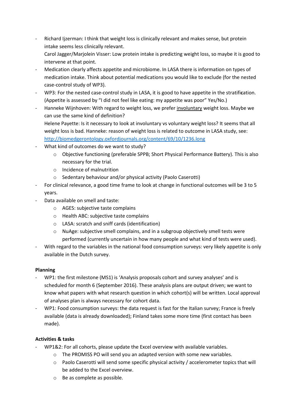- Richard Ijzerman: I think that weight loss is clinically relevant and makes sense, but protein intake seems less clinically relevant. Carol Jagger/Marjolein Visser: Low protein intake is predicting weight loss, so maybe it is good to intervene at that point.
- Medication clearly affects appetite and microbiome. In LASA there is information on types of medication intake. Think about potential medications you would like to exclude (for the nested case-control study of WP3).
- WP3: For the nested case-control study in LASA, it is good to have appetite in the stratifi**c**ation. (Appetite is assessed by "I did not feel like eating: my appetite was poor" Yes/No.)
- Hanneke Wijnhoven: With regard to weight loss, we prefer involuntary weight loss. Maybe we can use the same kind of definition? Helene Payette: Is it necessary to look at involuntary vs voluntary weight loss? It seems that all

weight loss is bad. Hanneke: reason of weight loss is related to outcome in LASA study, see: <http://biomedgerontology.oxfordjournals.org/content/69/10/1236.long>

- What kind of outcomes do we want to study?
	- o Objective functioning (preferable SPPB; Short Physical Performance Battery). This is also necessary for the trial.
	- o Incidence of malnutrition
	- o Sedentary behaviour and/or physical activity (Paolo Caserotti)
- For clinical relevance, a good time frame to look at change in functional outcomes will be 3 to 5 years.
- Data available on smell and taste:
	- o AGES: subjective taste complains
	- o Health ABC: subjective taste complains
	- o LASA: scratch and sniff cards (identification)
	- o NuAge: subjective smell complains, and in a subgroup objectively smell tests were performed (currently uncertain in how many people and what kind of tests were used).
- With regard to the variables in the national food consumption surveys: very likely appetite is only available in the Dutch survey.

# **Planning**

- WP1: the first milestone (MS1) is 'Analysis proposals cohort and survey analyses' and is scheduled for month 6 (September 2016). These analysis plans are output driven; we want to know what papers with what research question in which cohort(s) will be written. Local approval of analyses plan is always necessary for cohort data.
- WP1: Food consumption surveys: the data request is fast for the Italian survey; France is freely available (data is already downloaded); Finland takes some more time (first contact has been made).

# **Activities & tasks**

- WP1&2: For all cohorts, please update the Excel overview with available variables.
	- o The PROMISS PO will send you an adapted version with some new variables.
	- o Paolo Caserotti will send some specific physical activity / accelerometer topics that will be added to the Excel overview.
	- o Be as complete as possible.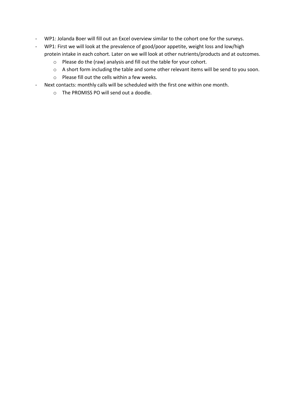- WP1: Jolanda Boer will fill out an Excel overview similar to the cohort one for the surveys.
- WP1: First we will look at the prevalence of good/poor appetite, weight loss and low/high protein intake in each cohort. Later on we will look at other nutrients/products and at outcomes.
	- o Please do the (raw) analysis and fill out the table for your cohort.
	- o A short form including the table and some other relevant items will be send to you soon.
	- o Please fill out the cells within a few weeks.
- Next contacts: monthly calls will be scheduled with the first one within one month.
	- o The PROMISS PO will send out a doodle.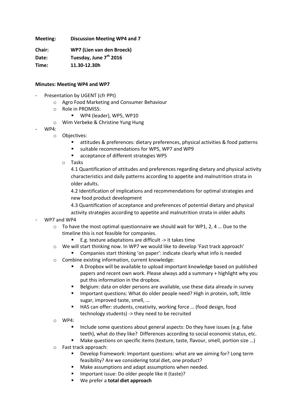**Meeting: Discussion Meeting WP4 and 7**

**Chair: WP7 (Lien van den Broeck) Date: Tuesday, June 7th 2016 Time: 11.30-12.30h**

#### **Minutes: Meeting WP4 and WP7**

- Presentation by UGENT (cfr PPt)
	- o Agro Food Marketing and Consumer Behaviour
	- o Role in PROMISS:
		- WP4 (leader), WP5, WP10
	- o Wim Verbeke & Christine Yung Hung
- WP4:
	- o Objectives:
		- attitudes & preferences: dietary preferences, physical activities & food patterns
		- suitable recommendations for WP5, WP7 and WP9
		- acceptance of different strategies WP5
		- o Tasks

4.1 Quantification of attitudes and preferences regarding dietary and physical activity characteristics and daily patterns according to appetite and malnutrition strata in older adults.

4.2 Identification of implications and recommendations for optimal strategies and new food product development

4.3 Quantification of acceptance and preferences of potential dietary and physical activity strategies according to appetite and malnutrition strata in older adults

- WP7 and WP4
	- $\circ$  To have the most optimal questionnaire we should wait for WP1, 2, 4 ... Due to the timeline this is not feasible for companies.
		- E.g. texture adaptations are difficult -> it takes time
	- o We will start thinking now. In WP7 we would like to develop 'Fast track approach'
	- Companies start thinking 'on paper': indicate clearly what info is needed
	- o Combine existing information, current knowledge:
		- A Dropbox will be available to upload important knowledge based on published papers and recent own work. Please always add a summary + highlight why you put this information in the dropbox.
		- Belgium: data on older persons are available, use these data already in survey
		- **IMPORTANT IMMORTANDIST:** What do older people need? High in protein, soft, little sugar, improved taste, smell, …
		- HAS can offer: students, creativity, working force … (food design, food technology students) -> they need to be recruited
	- o WP4:
		- Include some questions about general aspects: Do they have issues (e.g. false teeth), what do they like? Differences according to social economic status, etc.
		- Make questions on specific items (texture, taste, flavour, smell, portion size …)
	- o Fast track approach:
		- Develop framework: Important questions: what are we aiming for? Long term feasibility? Are we considering total diet, one product?
		- **Make assumptions and adapt assumptions when needed.**
		- **IMPORTANTIELE:** Do older people like it (taste)?
		- We prefer a **total diet approach**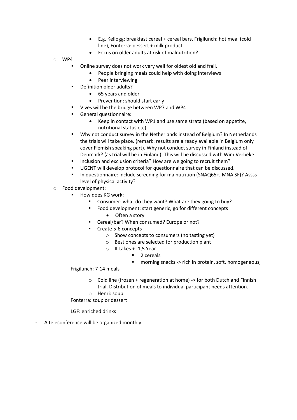- E.g. Kellogg: breakfast cereal + cereal bars, Frigilunch: hot meal (cold line), Fonterra: dessert + milk product …
- Focus on older adults at risk of malnutrition?
- o WP4
- Online survey does not work very well for oldest old and frail.
	- People bringing meals could help with doing interviews
	- Peer interviewing
- Definition older adults?
	- 65 years and older
	- Prevention: should start early
- Vives will be the bridge between WP7 and WP4
- General questionnaire:
	- Keep in contact with WP1 and use same strata (based on appetite, nutritional status etc)
- Why not conduct survey in the Netherlands instead of Belgium? In Netherlands the trials will take place. (remark: results are already available in Belgium only cover Flemish speaking part). Why not conduct survey in Finland instead of Denmark? (as trial will be in Finland). This will be discussed with Wim Verbeke.
- Inclusion and exclusion criteria? How are we going to recruit them?
- UGENT will develop protocol for questionnaire that can be discussed.
- In questionnaire: include screening for malnutrition (SNAQ65+, MNA SF)? Assss level of physical activity?
- o Food development:
	- How does KG work:
		- Consumer: what do they want? What are they going to buy?
		- Food development: start generic, go for different concepts
			- Often a story
		- Cereal/bar? When consumed? Europe or not?
		- Create 5-6 concepts
			- o Show concepts to consumers (no tasting yet)
			- o Best ones are selected for production plant
			- o It takes +- 1,5 Year
				- 2 cereals
				- morning snacks -> rich in protein, soft, homogeneous,

#### Frigilunch: 7-14 meals

- o Cold line (frozen + regeneration at home) -> for both Dutch and Finnish trial. Distribution of meals to individual participant needs attention.
- o Henri: soup

Fonterra: soup or dessert

LGF: enriched drinks

A teleconference will be organized monthly.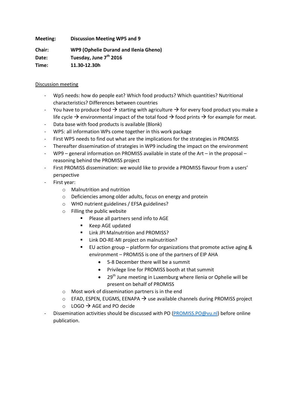**Meeting: Discussion Meeting WP5 and 9**

**Chair: WP9 (Ophelie Durand and Ilenia Gheno) Date: Tuesday, June 7th 2016 Time: 11.30-12.30h**

# Discussion meeting

- Wp5 needs: how do people eat? Which food products? Which quantities? Nutritional characteristics? Differences between countries
- You have to produce food  $\rightarrow$  starting with agriculture  $\rightarrow$  for every food product you make a life cycle  $\rightarrow$  environmental impact of the total food  $\rightarrow$  food prints  $\rightarrow$  for example for meat.
- Data base with food products is available (Blonk)
- WP5: all information WPs come together in this work package
- First WP5 needs to find out what are the implications for the strategies in PROMISS
- Thereafter dissemination of strategies in WP9 including the impact on the environment
- WP9 general information on PROMISS available in state of the Art in the proposal reasoning behind the PROMISS project
- First PROMISS dissemination: we would like to provide a PROMISS flavour from a users' perspective
- First year:
	- o Malnutrition and nutrition
	- o Deficiencies among older adults, focus on energy and protein
	- o WHO nutrient guidelines / EFSA guidelines?
	- o Filling the public website
		- Please all partners send info to AGE
		- Keep AGE updated
		- **Link JPI Malnutrition and PROMISS?**
		- **E** Link DO-RE-MI project on malnutrition?
		- EU action group platform for organizations that promote active aging & environment – PROMISS is one of the partners of EIP AHA
			- 5-8 December there will be a summit
			- Privilege line for PROMISS booth at that summit
			- 29<sup>th</sup> June meeting in Luxemburg where Ilenia or Ophelie will be present on behalf of PROMISS
	- o Most work of dissemination partners is in the end
	- $\circ$  EFAD, ESPEN, EUGMS, EENAPA  $\rightarrow$  use available channels during PROMISS project
	- $\circ$  LOGO  $\rightarrow$  AGE and PO decide
- Dissemination activities should be discussed with PO [\(PROMISS.PO@vu.nl\)](mailto:PROMISS.PO@vu.nl) before online publication.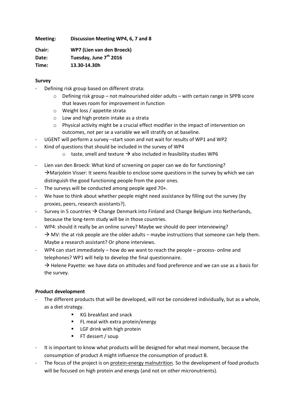**Meeting: Discussion Meeting WP4, 6, 7 and 8**

**Chair: WP7 (Lien van den Broeck) Date: Tuesday, June 7th 2016 Time: 13.30-14.30h**

# **Survey**

- Defining risk group based on different strata:
	- o Defining risk group not malnourished older adults with certain range in SPPB score that leaves room for improvement in function
	- o Weight loss / appetite strata
	- o Low and high protein intake as a strata
	- $\circ$  Physical activity might be a crucial effect modifier in the impact of intervention on outcomes, not per se a variable we will stratify on at baseline.
- UGENT will perform a survey –start soon and not wait for results of WP1 and WP2
- Kind of questions that should be included in the survey of WP4
	- $\circ$  taste, smell and texture  $\rightarrow$  also included in feasibility studies WP6
- Lien van den Broeck: What kind of screening on paper can we do for functioning?  $\rightarrow$  Marjolein Visser: It seems feasible to enclose some questions in the survey by which we can distinguish the good functioning people from the poor ones.
- The surveys will be conducted among people aged 70+.
- We have to think about whether people might need assistance by filling out the survey (by proxies, peers, research assistants?).
- Survey in 5 countries  $\rightarrow$  Change Denmark into Finland and Change Belgium into Netherlands, because the long-term study will be in those countries.
- WP4: should it really be an online survey? Maybe we should do peer interviewing?  $\rightarrow$  MV: the at risk people are the older adults – maybe instructions that someone can help them. Maybe a research assistant? Or phone interviews.
- WP4 can start immediately how do we want to reach the people process- online and telephones? WP1 will help to develop the final questionnaire.

 $\rightarrow$  Helene Payette: we have data on attitudes and food preference and we can use as a basis for the survey.

# **Product development**

- The different products that will be developed, will not be considered individually, but as a whole, as a diet strategy.
	- KG breakfast and snack
	- **FL meal with extra protein/energy**
	- **EXECT** LGF drink with high protein
	- **FT** dessert / soup
- It is important to know what products will be designed for what meal moment, because the consumption of product A might influence the consumption of product B.
- The focus of the project is on protein-energy malnutrition. So the development of food products will be focused on high protein and energy (and not on other micronutrients).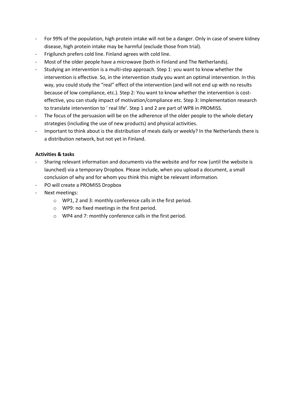- For 99% of the population, high protein intake will not be a danger. Only in case of severe kidney disease, high protein intake may be harmful (exclude those from trial).
- Frigilunch prefers cold line. Finland agrees with cold line.
- Most of the older people have a microwave (both in Finland and The Netherlands).
- Studying an intervention is a multi-step approach. Step 1: you want to know whether the intervention is effective. So, in the intervention study you want an optimal intervention. In this way, you could study the "real" effect of the intervention (and will not end up with no results because of low compliance, etc.). Step 2: You want to know whether the intervention is costeffective, you can study impact of motivation/compliance etc. Step 3: Implementation research to translate intervention to ' real life'. Step 1 and 2 are part of WP8 in PROMISS.
- The focus of the persuasion will be on the adherence of the older people to the whole dietary strategies (including the use of new products) and physical activities.
- Important to think about is the distribution of meals daily or weekly? In the Netherlands there is a distribution network, but not yet in Finland.

# **Activities & tasks**

- Sharing relevant information and documents via the website and for now (until the website is launched) via a temporary Dropbox. Please include, when you upload a document, a small conclusion of why and for whom you think this might be relevant information.
- PO will create a PROMISS Dropbox
- Next meetings:
	- o WP1, 2 and 3: monthly conference calls in the first period.
	- o WP9: no fixed meetings in the first period.
	- o WP4 and 7: monthly conference calls in the first period.